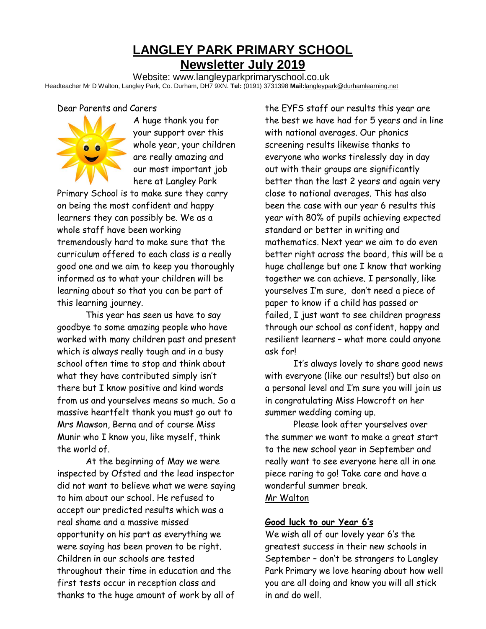## **LANGLEY PARK PRIMARY SCHOOL Newsletter July 2019**

Website: www.langleyparkprimaryschool.co.uk Headteacher Mr D Walton, Langley Park, Co. Durham, DH7 9XN. **Tel:** (0191) 3731398 **Mail:**langleypark@durhamlearning.net

#### Dear Parents and Carers



A huge thank you for your support over this whole year, your children are really amazing and our most important job here at Langley Park

Primary School is to make sure they carry on being the most confident and happy learners they can possibly be. We as a whole staff have been working tremendously hard to make sure that the curriculum offered to each class is a really good one and we aim to keep you thoroughly informed as to what your children will be learning about so that you can be part of this learning journey.

This year has seen us have to say goodbye to some amazing people who have worked with many children past and present which is always really tough and in a busy school often time to stop and think about what they have contributed simply isn't there but I know positive and kind words from us and yourselves means so much. So a massive heartfelt thank you must go out to Mrs Mawson, Berna and of course Miss Munir who I know you, like myself, think the world of.

At the beginning of May we were inspected by Ofsted and the lead inspector did not want to believe what we were saying to him about our school. He refused to accept our predicted results which was a real shame and a massive missed opportunity on his part as everything we were saying has been proven to be right. Children in our schools are tested throughout their time in education and the first tests occur in reception class and thanks to the huge amount of work by all of

the EYFS staff our results this year are the best we have had for 5 years and in line with national averages. Our phonics screening results likewise thanks to everyone who works tirelessly day in day out with their groups are significantly better than the last 2 years and again very close to national averages. This has also been the case with our year 6 results this year with 80% of pupils achieving expected standard or better in writing and mathematics. Next year we aim to do even better right across the board, this will be a huge challenge but one I know that working together we can achieve. I personally, like yourselves I'm sure, don't need a piece of paper to know if a child has passed or failed, I just want to see children progress through our school as confident, happy and resilient learners – what more could anyone ask for!

It's always lovely to share good news with everyone (like our results!) but also on a personal level and I'm sure you will join us in congratulating Miss Howcroft on her summer wedding coming up.

Please look after yourselves over the summer we want to make a great start to the new school year in September and really want to see everyone here all in one piece raring to go! Take care and have a wonderful summer break. Mr Walton

# **Good luck to our Year 6's**

We wish all of our lovely year 6's the greatest success in their new schools in September – don't be strangers to Langley Park Primary we love hearing about how well you are all doing and know you will all stick in and do well.